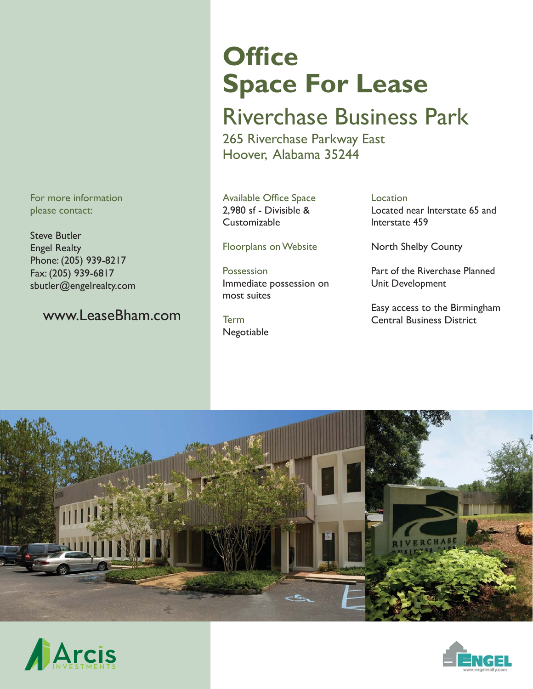For more information please contact:

Steve Butler Engel Realty Phone: (205) 939-8217 Fax: (205) 939-6817 sbutler@engelrealty.com

#### www.LeaseBham.com

# **Office Space For Lease**

## Riverchase Business Park

265 Riverchase Parkway East Hoover, Alabama 35244

Available Office Space 2,980 sf - Divisible & Customizable

Floorplans on Website

Possession Immediate possession on most suites

Term Negotiable Location Located near Interstate 65 and Interstate 459

North Shelby County

Part of the Riverchase Planned Unit Development

Easy access to the Birmingham Central Business District





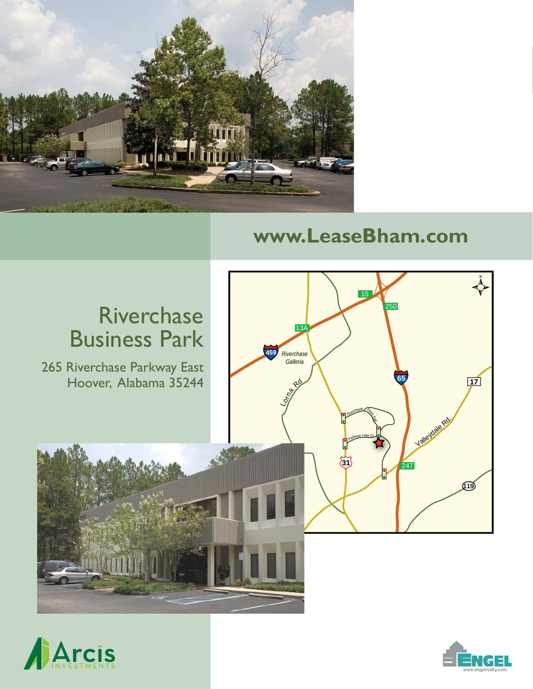

### **www.LeaseBham.com**